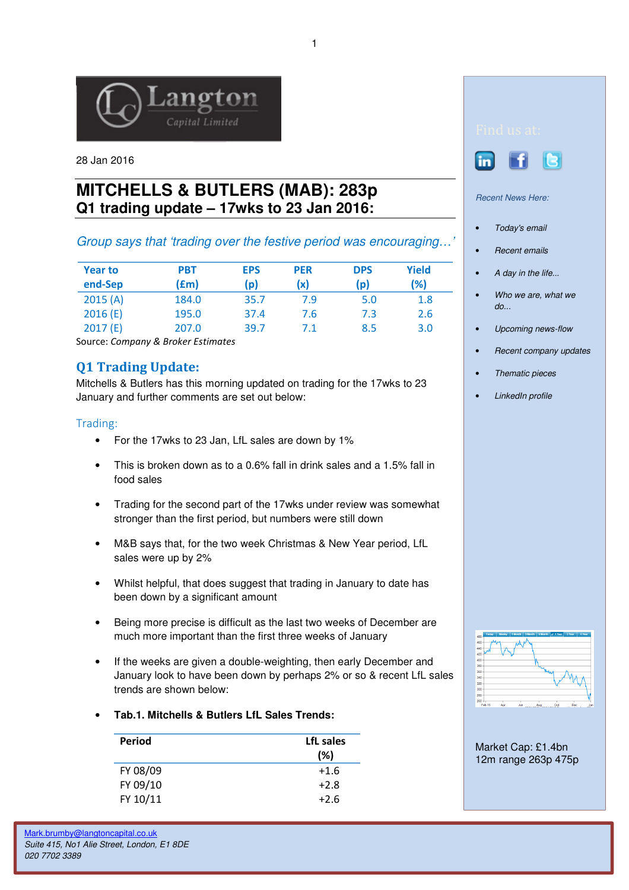

28 Jan 2016

# **MITCHELLS & BUTLERS (MAB): 283p Q1 trading update – 17wks to 23 Jan 2016:**

# Group says that 'trading over the festive period was encouraging…'

| <b>Year to</b><br>end-Sep | <b>PBT</b><br>(£m) | <b>EPS</b><br>(p) | <b>PER</b><br>(x) | <b>DPS</b><br>(p) | <b>Yield</b><br>(%) |
|---------------------------|--------------------|-------------------|-------------------|-------------------|---------------------|
| 2015(A)                   | 184.0              | 35.7              | 7.9               | 5.0               | 1.8                 |
| 2016(E)                   | 195.0              | 37.4              | 7.6               | 7.3               | 2.6                 |
| 2017(E)                   | 207.0              | 39.7              | 7.1               | 8.5               | 3.0                 |

Source: Company & Broker Estimates

# Q1 Trading Update:

Mitchells & Butlers has this morning updated on trading for the 17wks to 23 January and further comments are set out below:

## Trading:

- For the 17wks to 23 Jan, LfL sales are down by 1%
- This is broken down as to a 0.6% fall in drink sales and a 1.5% fall in food sales
- Trading for the second part of the 17wks under review was somewhat stronger than the first period, but numbers were still down
- M&B says that, for the two week Christmas & New Year period, LfL sales were up by 2%
- Whilst helpful, that does suggest that trading in January to date has been down by a significant amount
- Being more precise is difficult as the last two weeks of December are much more important than the first three weeks of January
- If the weeks are given a double-weighting, then early December and January look to have been down by perhaps 2% or so & recent LfL sales trends are shown below:
- **Tab.1. Mitchells & Butlers LfL Sales Trends:**

| Period   | LfL sales<br>(%) |
|----------|------------------|
| FY 08/09 | $+1.6$           |
| FY 09/10 | $+2.8$           |
| FY 10/11 | $+2.6$           |



Recent News Here:

- Today's email
- Recent emails
- A day in the life...
- Who we are, what we  $do...$
- Upcoming news-flow
- Recent company updates
- Thematic pieces
- **LinkedIn profile**



Market Cap: £1.4bn 12m range 263p 475p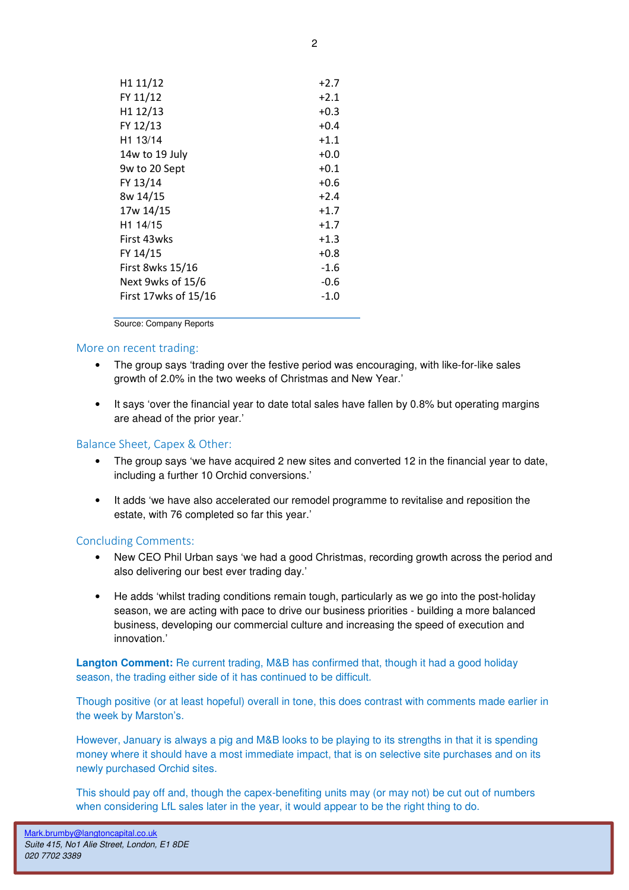| H <sub>1</sub> 11/12 | $+2.7$ |
|----------------------|--------|
| FY 11/12             | $+2.1$ |
| H1 12/13             | $+0.3$ |
| FY 12/13             | $+0.4$ |
| H1 13/14             | $+1.1$ |
| 14w to 19 July       | $+0.0$ |
| 9w to 20 Sept        | $+0.1$ |
| FY 13/14             | $+0.6$ |
| 8w 14/15             | $+2.4$ |
| 17w 14/15            | $+1.7$ |
| H1 14/15             | $+1.7$ |
| First 43wks          | $+1.3$ |
| FY 14/15             | $+0.8$ |
| First 8wks 15/16     | $-1.6$ |
| Next 9wks of 15/6    | $-0.6$ |
| First 17wks of 15/16 | -1.0   |
|                      |        |

Source: Company Reports

#### More on recent trading:

- The group says 'trading over the festive period was encouraging, with like-for-like sales growth of 2.0% in the two weeks of Christmas and New Year.'
- It says 'over the financial year to date total sales have fallen by 0.8% but operating margins are ahead of the prior year.'

### Balance Sheet, Capex & Other:

- The group says 'we have acquired 2 new sites and converted 12 in the financial year to date, including a further 10 Orchid conversions.'
- It adds 'we have also accelerated our remodel programme to revitalise and reposition the estate, with 76 completed so far this year.'

#### Concluding Comments:

- New CEO Phil Urban says 'we had a good Christmas, recording growth across the period and also delivering our best ever trading day.'
- He adds 'whilst trading conditions remain tough, particularly as we go into the post-holiday season, we are acting with pace to drive our business priorities - building a more balanced business, developing our commercial culture and increasing the speed of execution and innovation.'

**Langton Comment:** Re current trading, M&B has confirmed that, though it had a good holiday season, the trading either side of it has continued to be difficult.

Though positive (or at least hopeful) overall in tone, this does contrast with comments made earlier in the week by Marston's.

However, January is always a pig and M&B looks to be playing to its strengths in that it is spending money where it should have a most immediate impact, that is on selective site purchases and on its newly purchased Orchid sites.

This should pay off and, though the capex-benefiting units may (or may not) be cut out of numbers when considering LfL sales later in the year, it would appear to be the right thing to do.